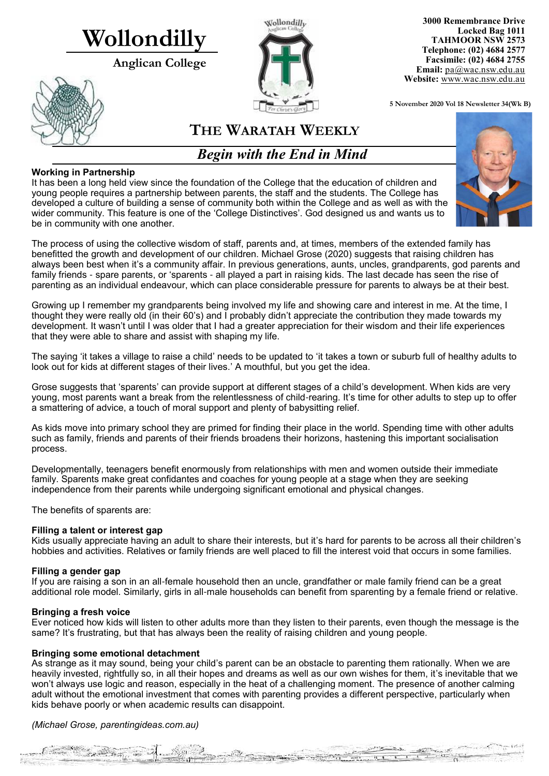# **Wollondilly**

**Anglican College** 





**3000 Remembrance Drive Locked Bag 1011 TAHMOOR NSW 2573 Telephone: (02) 4684 2577 Facsimile: (02) 4684 2755 Email:** [pa@wac.nsw.edu.au](mailto:pa@wac.nsw.edu.au) **Website:** www.wac.nsw.edu.au

**5 November 2020 Vol 18 Newsletter 34(Wk B)** 

# **THE WARATAH WEEKLY**

*Begin with the End in Mind*

# **Working in Partnership**

It has been a long held view since the foundation of the College that the education of children and young people requires a partnership between parents, the staff and the students. The College has developed a culture of building a sense of community both within the College and as well as with the wider community. This feature is one of the 'College Distinctives'. God designed us and wants us to be in community with one another.

The process of using the collective wisdom of staff, parents and, at times, members of the extended family has benefitted the growth and development of our children. Michael Grose (2020) suggests that raising children has always been best when it's a community affair. In previous generations, aunts, uncles, grandparents, god parents and family friends - spare parents, or 'sparents - all played a part in raising kids. The last decade has seen the rise of parenting as an individual endeavour, which can place considerable pressure for parents to always be at their best.

Growing up I remember my grandparents being involved my life and showing care and interest in me. At the time, I thought they were really old (in their 60's) and I probably didn't appreciate the contribution they made towards my development. It wasn't until I was older that I had a greater appreciation for their wisdom and their life experiences that they were able to share and assist with shaping my life.

The saying 'it takes a village to raise a child' needs to be updated to 'it takes a town or suburb full of healthy adults to look out for kids at different stages of their lives.' A mouthful, but you get the idea.

Grose suggests that 'sparents' can provide support at different stages of a child's development. When kids are very young, most parents want a break from the relentlessness of child-rearing. It's time for other adults to step up to offer a smattering of advice, a touch of moral support and plenty of babysitting relief.

As kids move into primary school they are primed for finding their place in the world. Spending time with other adults such as family, friends and parents of their friends broadens their horizons, hastening this important socialisation process.

Developmentally, teenagers benefit enormously from relationships with men and women outside their immediate family. Sparents make great confidantes and coaches for young people at a stage when they are seeking independence from their parents while undergoing significant emotional and physical changes.

The benefits of sparents are:

### **Filling a talent or interest gap**

Kids usually appreciate having an adult to share their interests, but it's hard for parents to be across all their children's hobbies and activities. Relatives or family friends are well placed to fill the interest void that occurs in some families.

### **Filling a gender gap**

If you are raising a son in an all-female household then an uncle, grandfather or male family friend can be a great additional role model. Similarly, girls in all-male households can benefit from sparenting by a female friend or relative.

### **Bringing a fresh voice**

Ever noticed how kids will listen to other adults more than they listen to their parents, even though the message is the same? It's frustrating, but that has always been the reality of raising children and young people.

### **Bringing some emotional detachment**

As strange as it may sound, being your child's parent can be an obstacle to parenting them rationally. When we are heavily invested, rightfully so, in all their hopes and dreams as well as our own wishes for them, it's inevitable that we won't always use logic and reason, especially in the heat of a challenging moment. The presence of another calming adult without the emotional investment that comes with parenting provides a different perspective, particularly when kids behave poorly or when academic results can disappoint.

### *(Michael Grose, parentingideas.com.au)*

The family of the Commission

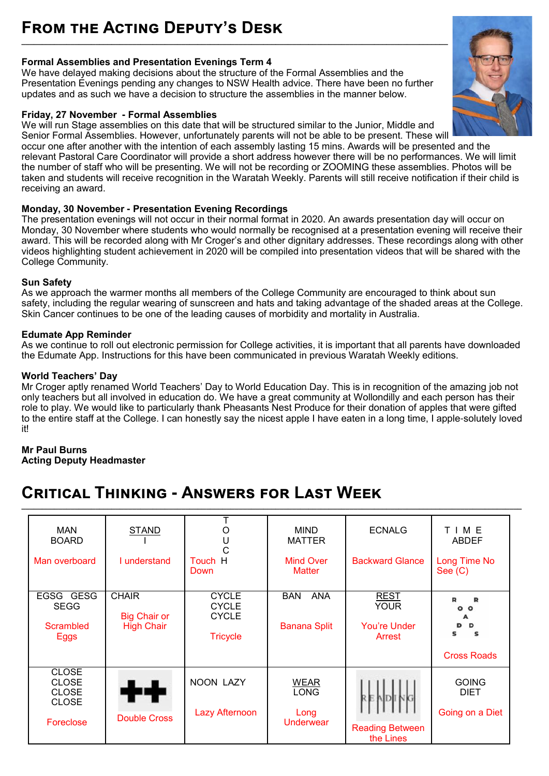# **Formal Assemblies and Presentation Evenings Term 4**

We have delayed making decisions about the structure of the Formal Assemblies and the Presentation Evenings pending any changes to NSW Health advice. There have been no further updates and as such we have a decision to structure the assemblies in the manner below.

### **Friday, 27 November - Formal Assemblies**

We will run Stage assemblies on this date that will be structured similar to the Junior, Middle and Senior Formal Assemblies. However, unfortunately parents will not be able to be present. These will

occur one after another with the intention of each assembly lasting 15 mins. Awards will be presented and the relevant Pastoral Care Coordinator will provide a short address however there will be no performances. We will limit the number of staff who will be presenting. We will not be recording or ZOOMING these assemblies. Photos will be taken and students will receive recognition in the Waratah Weekly. Parents will still receive notification if their child is receiving an award.

# **Monday, 30 November - Presentation Evening Recordings**

The presentation evenings will not occur in their normal format in 2020. An awards presentation day will occur on Monday, 30 November where students who would normally be recognised at a presentation evening will receive their award. This will be recorded along with Mr Croger's and other dignitary addresses. These recordings along with other videos highlighting student achievement in 2020 will be compiled into presentation videos that will be shared with the College Community.

# **Sun Safety**

As we approach the warmer months all members of the College Community are encouraged to think about sun safety, including the regular wearing of sunscreen and hats and taking advantage of the shaded areas at the College. Skin Cancer continues to be one of the leading causes of morbidity and mortality in Australia.

### **Edumate App Reminder**

As we continue to roll out electronic permission for College activities, it is important that all parents have downloaded the Edumate App. Instructions for this have been communicated in previous Waratah Weekly editions.

### **World Teachers' Day**

Mr Croger aptly renamed World Teachers' Day to World Education Day. This is in recognition of the amazing job not only teachers but all involved in education do. We have a great community at Wollondilly and each person has their role to play. We would like to particularly thank Pheasants Nest Produce for their donation of apples that were gifted to the entire staff at the College. I can honestly say the nicest apple I have eaten in a long time, I apple-solutely loved it!

**\_\_\_\_\_\_\_\_\_\_\_\_\_\_\_\_\_\_\_\_\_\_\_\_\_\_\_\_\_\_\_\_\_\_\_\_\_\_\_\_\_\_\_\_\_\_\_\_\_\_\_\_\_\_\_\_\_\_\_\_\_\_\_\_\_\_\_\_\_\_\_\_\_\_\_\_\_\_\_\_\_\_\_\_\_\_\_\_\_\_\_\_\_\_\_\_\_\_\_\_\_\_\_\_\_\_\_\_\_\_\_\_\_\_\_\_\_\_\_\_\_\_**

### **Mr Paul Burns Acting Deputy Headmaster**

# **Critical Thinking - Answers for Last Week**

| <b>MAN</b><br><b>BOARD</b>                                                | <b>STAND</b>                                             |                                                                 | <b>MIND</b><br><b>MATTER</b>                    | <b>ECNALG</b>                                               | TIME<br><b>ABDEF</b>                                         |
|---------------------------------------------------------------------------|----------------------------------------------------------|-----------------------------------------------------------------|-------------------------------------------------|-------------------------------------------------------------|--------------------------------------------------------------|
| Man overboard                                                             | I understand                                             | Touch H<br>Down                                                 | <b>Mind Over</b><br><b>Matter</b>               | <b>Backward Glance</b>                                      | Long Time No<br>See $(C)$                                    |
| EGSG GESG<br><b>SEGG</b><br><b>Scrambled</b><br><b>Eggs</b>               | <b>CHAIR</b><br><b>Big Chair or</b><br><b>High Chair</b> | <b>CYCLE</b><br><b>CYCLE</b><br><b>CYCLE</b><br><b>Tricycle</b> | <b>BAN</b><br><b>ANA</b><br><b>Banana Split</b> | <b>REST</b><br><b>YOUR</b><br><b>You're Under</b><br>Arrest | R<br>R<br>$\circ$<br>$\circ$<br>D<br>s<br><b>Cross Roads</b> |
| <b>CLOSE</b><br><b>CLOSE</b><br><b>CLOSE</b><br><b>CLOSE</b><br>Foreclose | <b>Double Cross</b>                                      | <b>NOON LAZY</b><br><b>Lazy Afternoon</b>                       | <b>WEAR</b><br><b>LONG</b><br>Long<br>Underwear | <b>Reading Between</b><br>the Lines                         | <b>GOING</b><br><b>DIET</b><br>Going on a Diet               |

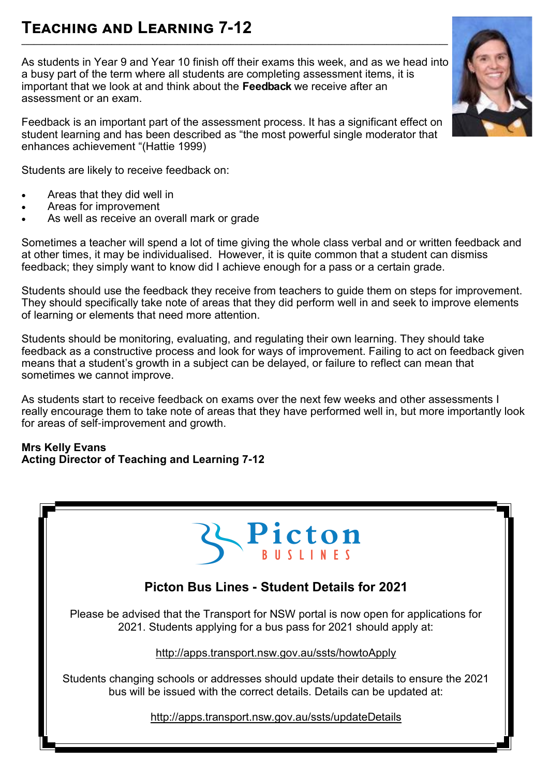# **Teaching and Learning 7-12 \_\_\_\_\_\_\_\_\_\_\_\_\_\_\_\_\_\_\_\_\_\_\_\_\_\_\_\_\_\_\_\_\_\_\_\_\_\_\_\_\_\_\_\_\_\_\_\_\_\_\_\_\_\_\_\_\_\_\_\_\_\_\_\_\_\_\_\_\_\_\_\_\_\_\_\_\_\_\_\_\_\_\_\_\_\_\_\_\_\_\_\_\_\_\_\_\_\_\_\_\_\_\_\_**

As students in Year 9 and Year 10 finish off their exams this week, and as we head into a busy part of the term where all students are completing assessment items, it is important that we look at and think about the **Feedback** we receive after an assessment or an exam.

Feedback is an important part of the assessment process. It has a significant effect on student learning and has been described as "the most powerful single moderator that enhances achievement "(Hattie 1999)

Students are likely to receive feedback on:

- Areas that they did well in
- Areas for improvement
- As well as receive an overall mark or grade

Sometimes a teacher will spend a lot of time giving the whole class verbal and or written feedback and at other times, it may be individualised. However, it is quite common that a student can dismiss feedback; they simply want to know did I achieve enough for a pass or a certain grade.

Students should use the feedback they receive from teachers to guide them on steps for improvement. They should specifically take note of areas that they did perform well in and seek to improve elements of learning or elements that need more attention.

Students should be monitoring, evaluating, and regulating their own learning. They should take feedback as a constructive process and look for ways of improvement. Failing to act on feedback given means that a student's growth in a subject can be delayed, or failure to reflect can mean that sometimes we cannot improve.

As students start to receive feedback on exams over the next few weeks and other assessments I really encourage them to take note of areas that they have performed well in, but more importantly look for areas of self-improvement and growth.

# **Mrs Kelly Evans Acting Director of Teaching and Learning 7-12**



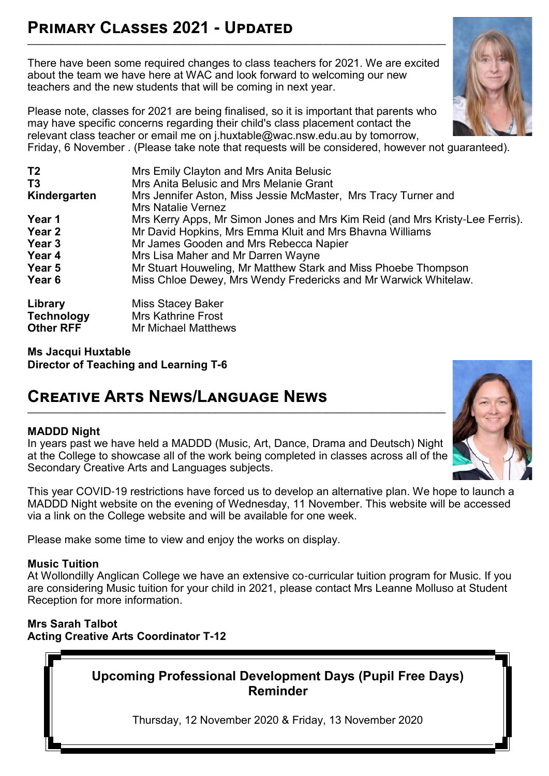# **Primary Classes 2021 - Updated \_\_\_\_\_\_\_\_\_\_\_\_\_\_\_\_\_\_\_\_\_\_\_\_\_\_\_\_\_\_\_\_\_\_\_\_\_\_\_\_\_\_\_\_\_\_\_\_\_\_\_\_\_\_\_\_\_\_\_\_\_\_\_\_\_\_\_\_\_\_\_\_\_\_\_\_\_\_\_\_\_\_\_\_\_\_\_\_\_\_\_\_\_\_\_\_\_\_\_\_\_\_**

There have been some required changes to class teachers for 2021. We are excited about the team we have here at WAC and look forward to welcoming our new teachers and the new students that will be coming in next year.

Please note, classes for 2021 are being finalised, so it is important that parents who may have specific concerns regarding their child's class placement contact the relevant class teacher or email me on j.huxtable@wac.nsw.edu.au by tomorrow, Friday, 6 November . (Please take note that requests will be considered, however not guaranteed).

| T <sub>2</sub><br>T <sub>3</sub><br>Kindergarten | Mrs Emily Clayton and Mrs Anita Belusic<br>Mrs Anita Belusic and Mrs Melanie Grant<br>Mrs Jennifer Aston, Miss Jessie McMaster, Mrs Tracy Turner and<br><b>Mrs Natalie Vernez</b> |
|--------------------------------------------------|-----------------------------------------------------------------------------------------------------------------------------------------------------------------------------------|
| Year 1                                           | Mrs Kerry Apps, Mr Simon Jones and Mrs Kim Reid (and Mrs Kristy-Lee Ferris).                                                                                                      |
| Year 2                                           | Mr David Hopkins, Mrs Emma Kluit and Mrs Bhavna Williams                                                                                                                          |
| Year 3                                           | Mr James Gooden and Mrs Rebecca Napier                                                                                                                                            |
| Year 4                                           | Mrs Lisa Maher and Mr Darren Wayne                                                                                                                                                |
| Year 5                                           | Mr Stuart Houweling, Mr Matthew Stark and Miss Phoebe Thompson                                                                                                                    |
| Year 6                                           | Miss Chloe Dewey, Mrs Wendy Fredericks and Mr Warwick Whitelaw.                                                                                                                   |
| Library<br><b>Technology</b><br><b>Other RFF</b> | <b>Miss Stacey Baker</b><br><b>Mrs Kathrine Frost</b><br><b>Mr Michael Matthews</b>                                                                                               |

**Ms Jacqui Huxtable Director of Teaching and Learning T-6**

# **Creative Arts News/Language News**

# **MADDD Night**

In years past we have held a MADDD (Music, Art, Dance, Drama and Deutsch) Night at the College to showcase all of the work being completed in classes across all of the Secondary Creative Arts and Languages subjects.

**\_\_\_\_\_\_\_\_\_\_\_\_\_\_\_\_\_\_\_\_\_\_\_\_\_\_\_\_\_\_\_\_\_\_\_\_\_\_\_\_\_\_\_\_\_\_\_\_\_\_\_\_\_\_\_\_\_\_\_\_\_\_\_\_\_\_\_\_\_\_\_\_\_\_\_\_\_\_\_\_\_\_\_\_\_\_\_\_\_\_\_\_\_\_\_\_\_\_\_\_\_\_**

This year COVID-19 restrictions have forced us to develop an alternative plan. We hope to launch a MADDD Night website on the evening of Wednesday, 11 November. This website will be accessed via a link on the College website and will be available for one week.

Please make some time to view and enjoy the works on display.

# **Music Tuition**

At Wollondilly Anglican College we have an extensive co-curricular tuition program for Music. If you are considering Music tuition for your child in 2021, please contact Mrs Leanne Molluso at Student Reception for more information.

# **Mrs Sarah Talbot Acting Creative Arts Coordinator T-12**

**Upcoming Professional Development Days (Pupil Free Days) Reminder**

Thursday, 12 November 2020 & Friday, 13 November 2020



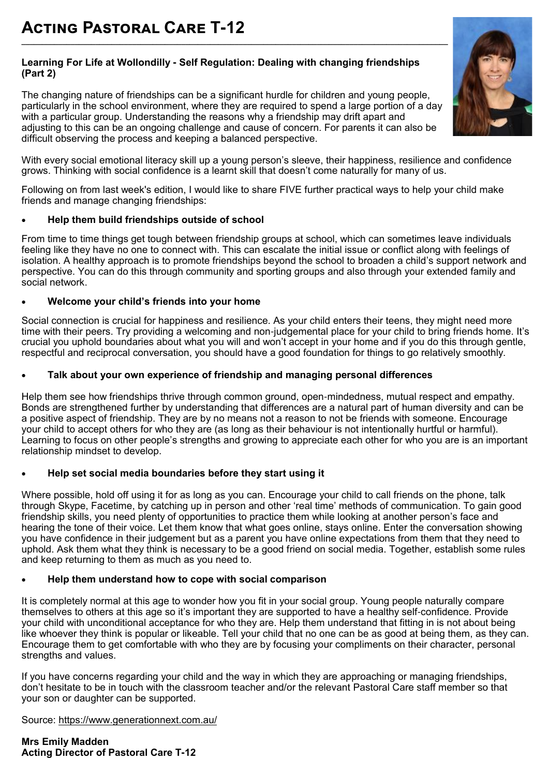### **Learning For Life at Wollondilly - Self Regulation: Dealing with changing friendships (Part 2)**

The changing nature of friendships can be a significant hurdle for children and young people, particularly in the school environment, where they are required to spend a large portion of a day with a particular group. Understanding the reasons why a friendship may drift apart and adjusting to this can be an ongoing challenge and cause of concern. For parents it can also be difficult observing the process and keeping a balanced perspective.



With every social emotional literacy skill up a young person's sleeve, their happiness, resilience and confidence grows. Thinking with social confidence is a learnt skill that doesn't come naturally for many of us.

Following on from last week's edition, I would like to share FIVE further practical ways to help your child make friends and manage changing friendships:

### **Help them build friendships outside of school**

From time to time things get tough between friendship groups at school, which can sometimes leave individuals feeling like they have no one to connect with. This can escalate the initial issue or conflict along with feelings of isolation. A healthy approach is to promote friendships beyond the school to broaden a child's support network and perspective. You can do this through community and sporting groups and also through your extended family and social network.

# **Welcome your child's friends into your home**

Social connection is crucial for happiness and resilience. As your child enters their teens, they might need more time with their peers. Try providing a welcoming and non-judgemental place for your child to bring friends home. It's crucial you uphold boundaries about what you will and won't accept in your home and if you do this through gentle, respectful and reciprocal conversation, you should have a good foundation for things to go relatively smoothly.

# **Talk about your own experience of friendship and managing personal differences**

Help them see how friendships thrive through common ground, open-mindedness, mutual respect and empathy. Bonds are strengthened further by understanding that differences are a natural part of human diversity and can be a positive aspect of friendship. They are by no means not a reason to not be friends with someone. Encourage your child to accept others for who they are (as long as their behaviour is not intentionally hurtful or harmful). Learning to focus on other people's strengths and growing to appreciate each other for who you are is an important relationship mindset to develop.

# **Help set social media boundaries before they start using it**

Where possible, hold off using it for as long as you can. Encourage your child to call friends on the phone, talk through Skype, Facetime, by catching up in person and other 'real time' methods of communication. To gain good friendship skills, you need plenty of opportunities to practice them while looking at another person's face and hearing the tone of their voice. Let them know that what goes online, stays online. Enter the conversation showing you have confidence in their judgement but as a parent you have online expectations from them that they need to uphold. Ask them what they think is necessary to be a good friend on social media. Together, establish some rules and keep returning to them as much as you need to.

### **Help them understand how to cope with social comparison**

It is completely normal at this age to wonder how you fit in your social group. Young people naturally compare themselves to others at this age so it's important they are supported to have a healthy self-confidence. Provide your child with unconditional acceptance for who they are. Help them understand that fitting in is not about being like whoever they think is popular or likeable. Tell your child that no one can be as good at being them, as they can. Encourage them to get comfortable with who they are by focusing your compliments on their character, personal strengths and values.

If you have concerns regarding your child and the way in which they are approaching or managing friendships, don't hesitate to be in touch with the classroom teacher and/or the relevant Pastoral Care staff member so that your son or daughter can be supported.

Source: <https://www.generationnext.com.au/>

**Mrs Emily Madden Acting Director of Pastoral Care T-12**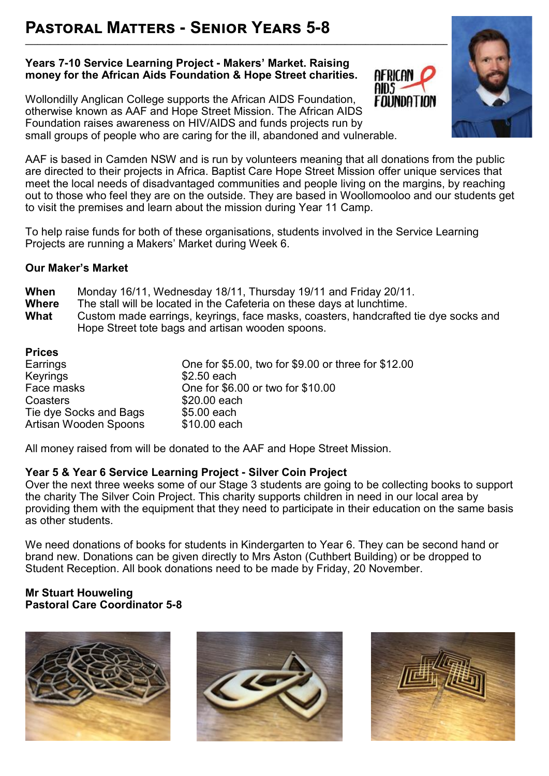# **Pastoral Matters - Senior Years 5-8**

# **Years 7-10 Service Learning Project - Makers' Market. Raising money for the African Aids Foundation & Hope Street charities.**

**\_\_\_\_\_\_\_\_\_\_\_\_\_\_\_\_\_\_\_\_\_\_\_\_\_\_\_\_\_\_\_\_\_\_\_\_\_\_\_\_\_\_\_\_\_\_\_\_\_\_\_\_\_\_\_\_\_\_\_\_\_\_\_\_\_\_\_\_\_\_\_\_\_\_\_\_\_\_\_\_\_\_\_\_\_\_\_\_\_\_\_\_\_\_\_\_\_\_\_\_\_\_\_**

Wollondilly Anglican College supports the African AIDS Foundation, otherwise known as AAF and Hope Street Mission. The African AIDS Foundation raises awareness on HIV/AIDS and funds projects run by small groups of people who are caring for the ill, abandoned and vulnerable.





AAF is based in Camden NSW and is run by volunteers meaning that all donations from the public are directed to their projects in Africa. Baptist Care Hope Street Mission offer unique services that meet the local needs of disadvantaged communities and people living on the margins, by reaching out to those who feel they are on the outside. They are based in Woollomooloo and our students get to visit the premises and learn about the mission during Year 11 Camp.

To help raise funds for both of these organisations, students involved in the Service Learning Projects are running a Makers' Market during Week 6.

# **Our Maker's Market**

| When         | Monday 16/11, Wednesday 18/11, Thursday 19/11 and Friday 20/11.                     |
|--------------|-------------------------------------------------------------------------------------|
| <b>Where</b> | The stall will be located in the Cafeteria on these days at lunchtime.              |
| What         | Custom made earrings, keyrings, face masks, coasters, handcrafted tie dye socks and |
|              | Hope Street tote bags and artisan wooden spoons.                                    |

| One for \$5.00, two for \$9.00 or three for \$12.00 |
|-----------------------------------------------------|
| \$2.50 each                                         |
| One for \$6.00 or two for \$10.00                   |
| \$20.00 each                                        |
| \$5.00 each                                         |
| \$10.00 each                                        |
|                                                     |

All money raised from will be donated to the AAF and Hope Street Mission.

# **Year 5 & Year 6 Service Learning Project - Silver Coin Project**

Over the next three weeks some of our Stage 3 students are going to be collecting books to support the charity The Silver Coin Project. This charity supports children in need in our local area by providing them with the equipment that they need to participate in their education on the same basis as other students.

We need donations of books for students in Kindergarten to Year 6. They can be second hand or brand new. Donations can be given directly to Mrs Aston (Cuthbert Building) or be dropped to Student Reception. All book donations need to be made by Friday, 20 November.

# **Mr Stuart Houweling Pastoral Care Coordinator 5-8**





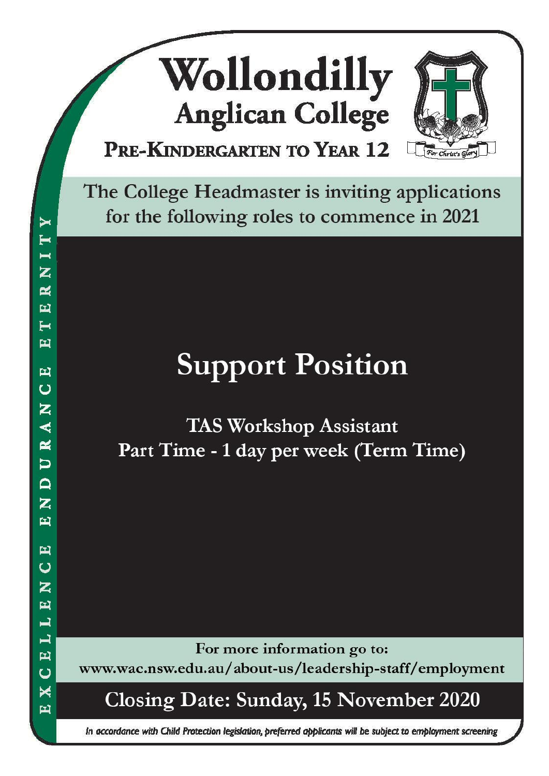# Wollondilly **Anglican College** PRE-KINDERGARTEN TO YEAR 12



The College Headmaster is inviting applications for the following roles to commence in 2021

# **Support Position**

**TAS Workshop Assistant** Part Time - 1 day per week (Term Time)

For more information go to:

www.wac.nsw.edu.au/about-us/leadership-staff/employment

**Closing Date: Sunday, 15 November 2020** 

In accordance with Child Protection legislation, preferred applicants will be subject to employment screening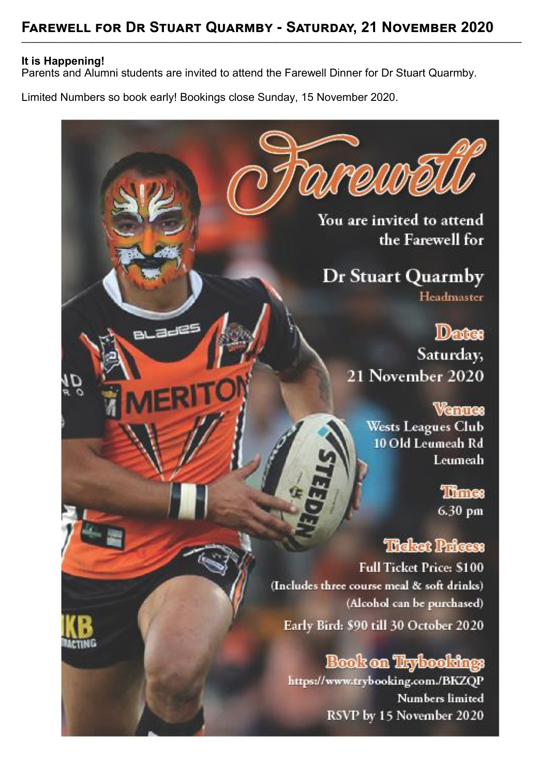**\_\_\_\_\_\_\_\_\_\_\_\_\_\_\_\_\_\_\_\_\_\_\_\_\_\_\_\_\_\_\_\_\_\_\_\_\_\_\_\_\_\_\_\_\_\_\_\_\_\_\_\_\_\_\_\_\_\_\_\_\_\_\_\_\_\_\_\_\_\_\_\_\_\_\_\_\_\_\_\_\_\_\_\_\_\_\_\_\_\_\_\_\_\_\_\_\_\_\_\_\_\_\_\_\_\_\_\_\_\_\_\_\_\_\_\_\_\_\_\_\_\_**

# **It is Happening!**

Parents and Alumni students are invited to attend the Farewell Dinner for Dr Stuart Quarmby.

Limited Numbers so book early! Bookings close Sunday, 15 November 2020.

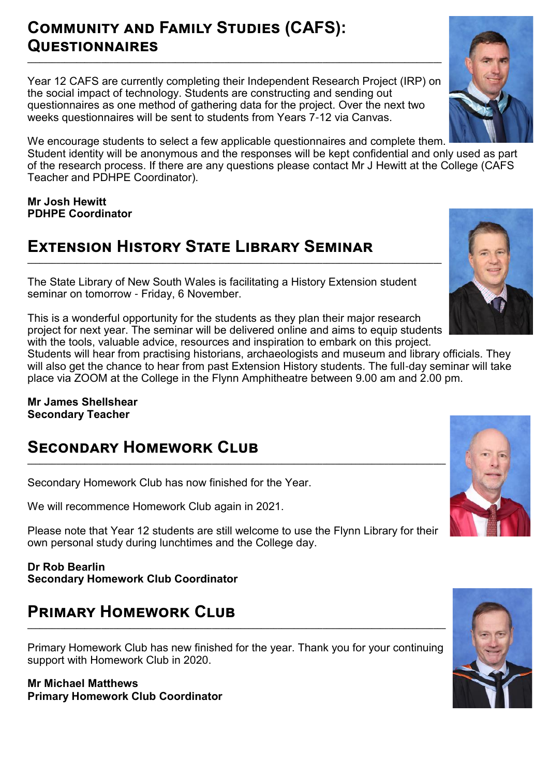# **Community and Family Studies (CAFS): Questionnaires**

Year 12 CAFS are currently completing their Independent Research Project (IRP) on the social impact of technology. Students are constructing and sending out questionnaires as one method of gathering data for the project. Over the next two weeks questionnaires will be sent to students from Years 7-12 via Canvas.

**\_\_\_\_\_\_\_\_\_\_\_\_\_\_\_\_\_\_\_\_\_\_\_\_\_\_\_\_\_\_\_\_\_\_\_\_\_\_\_\_\_\_\_\_\_\_\_\_\_\_\_\_\_\_\_\_\_\_\_\_\_\_\_\_\_\_\_\_\_\_\_\_\_\_\_\_\_\_\_\_\_\_\_\_\_\_\_\_\_\_\_\_\_\_\_\_\_\_\_\_\_**

We encourage students to select a few applicable questionnaires and complete them. Student identity will be anonymous and the responses will be kept confidential and only used as part of the research process. If there are any questions please contact Mr J Hewitt at the College (CAFS Teacher and PDHPE Coordinator).

**Mr Josh Hewitt PDHPE Coordinator** 

# **Extension History State Library Seminar**

The State Library of New South Wales is facilitating a History Extension student seminar on tomorrow - Friday, 6 November.

This is a wonderful opportunity for the students as they plan their major research project for next year. The seminar will be delivered online and aims to equip students with the tools, valuable advice, resources and inspiration to embark on this project.

**\_\_\_\_\_\_\_\_\_\_\_\_\_\_\_\_\_\_\_\_\_\_\_\_\_\_\_\_\_\_\_\_\_\_\_\_\_\_\_\_\_\_\_\_\_\_\_\_\_\_\_\_\_\_\_\_\_\_\_\_\_\_\_\_\_\_\_\_\_\_\_\_\_\_\_\_\_\_\_\_\_\_\_\_\_\_\_\_\_\_\_\_\_\_\_\_\_\_\_\_\_**

Students will hear from practising historians, archaeologists and museum and library officials. They will also get the chance to hear from past Extension History students. The full-day seminar will take place via ZOOM at the College in the Flynn Amphitheatre between 9.00 am and 2.00 pm.

**Mr James Shellshear Secondary Teacher** 

# **Secondary Homework Club \_\_\_\_\_\_\_\_\_\_\_\_\_\_\_\_\_\_\_\_\_\_\_\_\_\_\_\_\_\_\_\_\_\_\_\_\_\_\_\_\_\_\_\_\_\_\_\_\_\_\_\_\_\_\_\_\_\_\_\_\_\_\_\_\_\_\_\_\_\_\_\_\_\_\_\_\_\_\_\_\_\_\_\_\_\_\_\_\_\_\_\_\_\_\_\_\_\_\_\_\_\_**

Secondary Homework Club has now finished for the Year.

We will recommence Homework Club again in 2021.

Please note that Year 12 students are still welcome to use the Flynn Library for their own personal study during lunchtimes and the College day.

# **Dr Rob Bearlin Secondary Homework Club Coordinator**

# **Primary Homework Club**

Primary Homework Club has new finished for the year. Thank you for your continuing support with Homework Club in 2020.

**\_\_\_\_\_\_\_\_\_\_\_\_\_\_\_\_\_\_\_\_\_\_\_\_\_\_\_\_\_\_\_\_\_\_\_\_\_\_\_\_\_\_\_\_\_\_\_\_\_\_\_\_\_\_\_\_\_\_\_\_\_\_\_\_\_\_\_\_\_\_\_\_\_\_\_\_\_\_\_\_\_\_\_\_\_\_\_\_\_\_\_\_\_\_\_\_\_\_\_\_\_\_**

**Mr Michael Matthews Primary Homework Club Coordinator**







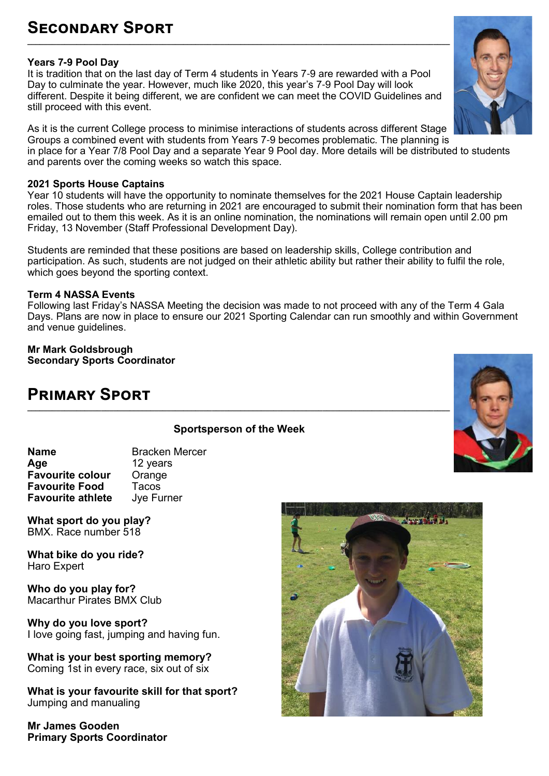# **Secondary Sport**

# **Years 7-9 Pool Day**

It is tradition that on the last day of Term 4 students in Years 7-9 are rewarded with a Pool Day to culminate the year. However, much like 2020, this year's 7-9 Pool Day will look different. Despite it being different, we are confident we can meet the COVID Guidelines and still proceed with this event.

**\_\_\_\_\_\_\_\_\_\_\_\_\_\_\_\_\_\_\_\_\_\_\_\_\_\_\_\_\_\_\_\_\_\_\_\_\_\_\_\_\_\_\_\_\_\_\_\_\_\_\_\_\_\_\_\_\_\_\_\_\_\_\_\_\_\_\_\_\_\_\_\_\_\_\_\_\_\_\_\_\_\_\_\_\_\_\_\_\_\_\_\_\_\_\_\_\_\_\_\_\_\_\_**

As it is the current College process to minimise interactions of students across different Stage Groups a combined event with students from Years 7-9 becomes problematic. The planning is in place for a Year 7/8 Pool Day and a separate Year 9 Pool day. More details will be distributed to students and parents over the coming weeks so watch this space.

### **2021 Sports House Captains**

Year 10 students will have the opportunity to nominate themselves for the 2021 House Captain leadership roles. Those students who are returning in 2021 are encouraged to submit their nomination form that has been emailed out to them this week. As it is an online nomination, the nominations will remain open until 2.00 pm Friday, 13 November (Staff Professional Development Day).

Students are reminded that these positions are based on leadership skills, College contribution and participation. As such, students are not judged on their athletic ability but rather their ability to fulfil the role, which goes beyond the sporting context.

# **Term 4 NASSA Events**

Following last Friday's NASSA Meeting the decision was made to not proceed with any of the Term 4 Gala Days. Plans are now in place to ensure our 2021 Sporting Calendar can run smoothly and within Government and venue guidelines.

**Mr Mark Goldsbrough Secondary Sports Coordinator**

# **Primary Sport**

# **Sportsperson of the Week**

**Name**<br> **Age Age Age Age Age Age Age Age Age Age Age Age Age Age Age Age Age Age Age Age Age Age Age Age Age Age Age Age Age Age A Age** 12 years **Favourite colour Favourite Food** Tacos<br>**Favourite athlete** Jye Furner **Favourite athlete** 

**What sport do you play?**  BMX. Race number 518

**What bike do you ride?**  Haro Expert

**Who do you play for?**  Macarthur Pirates BMX Club

**Why do you love sport?**  I love going fast, jumping and having fun.

**What is your best sporting memory?**  Coming 1st in every race, six out of six

**What is your favourite skill for that sport?**  Jumping and manualing

**Mr James Gooden Primary Sports Coordinator**







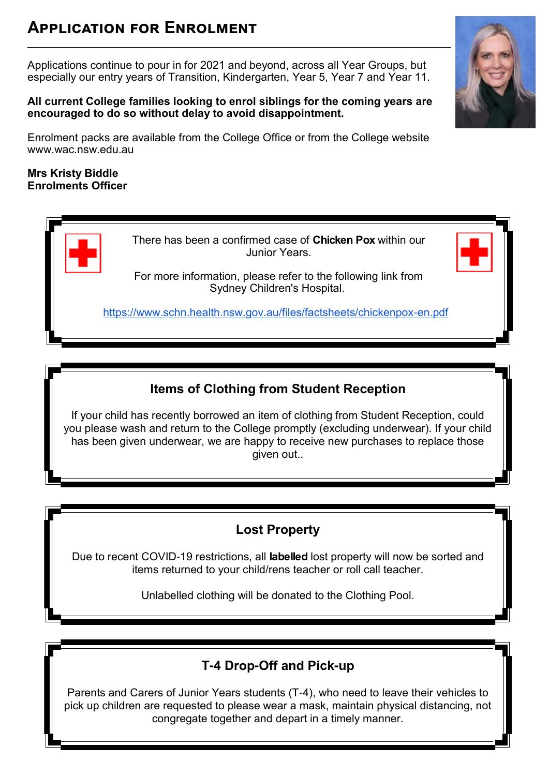# **Application for Enrolment**

Applications continue to pour in for 2021 and beyond, across all Year Groups, but especially our entry years of Transition, Kindergarten, Year 5, Year 7 and Year 11.

**\_\_\_\_\_\_\_\_\_\_\_\_\_\_\_\_\_\_\_\_\_\_\_\_\_\_\_\_\_\_\_\_\_\_\_\_\_\_\_\_\_\_\_\_\_\_\_\_\_\_\_\_\_\_\_\_\_\_\_\_\_\_\_\_\_\_\_\_\_\_\_\_\_\_\_**

# **All current College families looking to enrol siblings for the coming years are encouraged to do so without delay to avoid disappointment.**

Enrolment packs are available from the College Office or from the College website www.wac.nsw.edu.au

# **Mrs Kristy Biddle Enrolments Officer**

There has been a confirmed case of **Chicken Pox** within our Junior Years.

For more information, please refer to the following link from Sydney Children's Hospital.

[https://www.schn.health.nsw.gov.au/files/factsheets/chickenpox](https://www.schn.health.nsw.gov.au/files/factsheets/chickenpox-en.pdf)-en.pdf

# **Items of Clothing from Student Reception**

If your child has recently borrowed an item of clothing from Student Reception, could you please wash and return to the College promptly (excluding underwear). If your child has been given underwear, we are happy to receive new purchases to replace those given out..

# **Lost Property**

Due to recent COVID-19 restrictions, all **labelled** lost property will now be sorted and items returned to your child/rens teacher or roll call teacher.

Unlabelled clothing will be donated to the Clothing Pool.

# **T-4 Drop-Off and Pick-up**

Parents and Carers of Junior Years students (T-4), who need to leave their vehicles to pick up children are requested to please wear a mask, maintain physical distancing, not congregate together and depart in a timely manner.

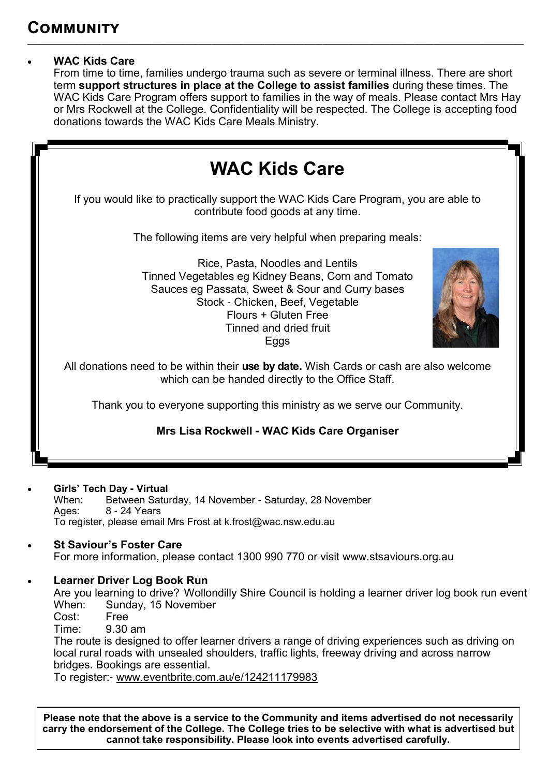# **WAC Kids Care**

From time to time, families undergo trauma such as severe or terminal illness. There are short term **support structures in place at the College to assist families** during these times. The WAC Kids Care Program offers support to families in the way of meals. Please contact Mrs Hay or Mrs Rockwell at the College. Confidentiality will be respected. The College is accepting food donations towards the WAC Kids Care Meals Ministry.

**\_\_\_\_\_\_\_\_\_\_\_\_\_\_\_\_\_\_\_\_\_\_\_\_\_\_\_\_\_\_\_\_\_\_\_\_\_\_\_\_\_\_\_\_\_\_\_\_\_\_\_\_\_\_\_\_\_\_\_\_\_\_\_\_\_\_\_\_\_\_\_\_\_\_\_\_\_\_\_\_\_\_\_\_\_\_\_\_\_\_\_\_\_\_\_\_\_\_\_\_\_\_\_\_\_\_\_\_\_\_\_\_\_\_\_\_\_\_\_\_\_**



# **Girls' Tech Day - Virtual**<br>
When: Between Satu

When: Between Saturday, 14 November - Saturday, 28 November<br>Ages: 8 - 24 Years 8 - 24 Years To register, please email Mrs Frost at k.frost@wac.nsw.edu.au

# **St Saviour's Foster Care**

For more information, please contact 1300 990 770 or visit www.stsaviours.org.au

# **Learner Driver Log Book Run**

Are you learning to drive? Wollondilly Shire Council is holding a learner driver log book run event When: Sunday, 15 November Sunday, 15 November

Cost: Free

Time: 9.30 am

The route is designed to offer learner drivers a range of driving experiences such as driving on local rural roads with unsealed shoulders, traffic lights, freeway driving and across narrow bridges. Bookings are essential.

To register:- [www.eventbrite.com.au/e/124211179983](http://www.eventbrite.com.au/e/124211179983)

**Please note that the above is a service to the Community and items advertised do not necessarily carry the endorsement of the College. The College tries to be selective with what is advertised but cannot take responsibility. Please look into events advertised carefully.**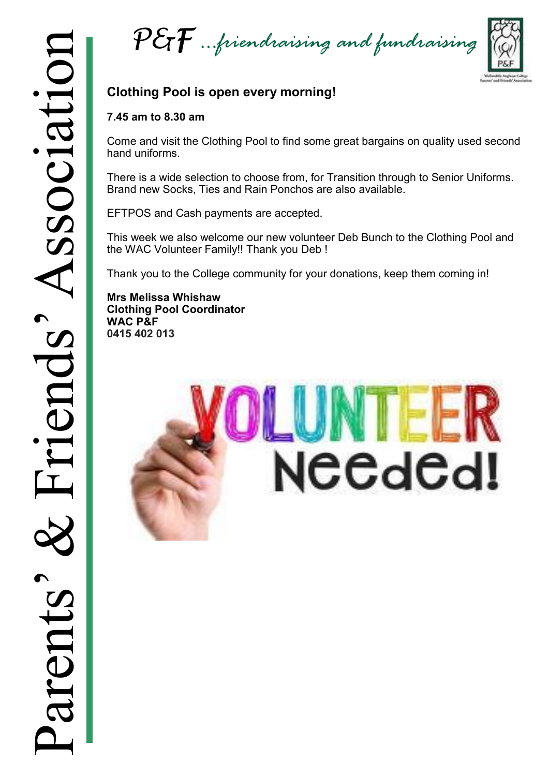*P&F …friendraising and fundraising*



# **Clothing Pool is open every morning!**

# **7.45 am to 8.30 am**

Come and visit the Clothing Pool to find some great bargains on quality used second hand uniforms.

There is a wide selection to choose from, for Transition through to Senior Uniforms. Brand new Socks, Ties and Rain Ponchos are also available.

EFTPOS and Cash payments are accepted.

This week we also welcome our new volunteer Deb Bunch to the Clothing Pool and the WAC Volunteer Family!! Thank you Deb !

Thank you to the College community for your donations, keep them coming in!

**Mrs Melissa Whishaw Clothing Pool Coordinator WAC P&F 0415 402 013**

# NEEdEd!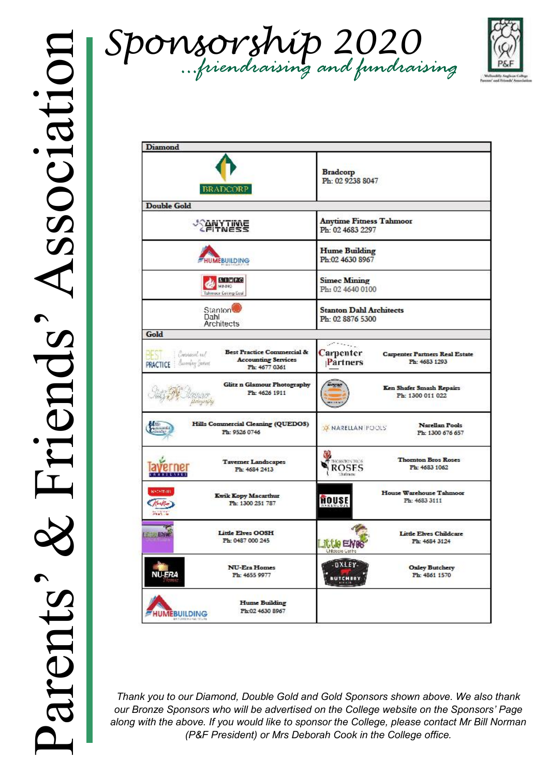



| <b>Diamond</b>                                                                                                                                     |                                                                                                      |  |
|----------------------------------------------------------------------------------------------------------------------------------------------------|------------------------------------------------------------------------------------------------------|--|
| <b>BRADCORP</b>                                                                                                                                    | <b>Bradcorp</b><br>Ph: 02 9238 8047                                                                  |  |
| <b>Double Gold</b>                                                                                                                                 |                                                                                                      |  |
| <b><i><u>PHYTIME</u></i></b>                                                                                                                       | <b>Anytime Fitness Tahmoor</b><br>Ph: 02 4683 2297                                                   |  |
| <b>HUMEBUILDING</b>                                                                                                                                | <b>Hume Building</b><br>Ph:02 4630 8967                                                              |  |
| <b>STMFC</b><br>MINING<br>Tahmoor Coking Coal                                                                                                      | <b>Simec Mining</b><br>Ph: 02 4640 0100                                                              |  |
| Stanton <sup>t</sup><br>Dahl<br>Architects                                                                                                         | <b>Stanton Dahl Architects</b><br>Ph: 02 8876 5300                                                   |  |
| Gold                                                                                                                                               |                                                                                                      |  |
| <b>Best Practice Commercial &amp;</b><br>Corporat us!<br>-13<br><b>Accounting Services</b><br>Aworking Jartent<br><b>PRACTICE</b><br>Ph: 4677 0361 | الموالي والمتعاصم<br>Carpenter<br><b>Carpenter Partners Real Estate</b><br>Partners<br>Ph: 4683 1293 |  |
| Glitz n Glamour Photography<br>Ph: 4626 1911                                                                                                       | Ken Shafer Smash Repairs<br>Ph: 1300 011 022                                                         |  |
| Hills Commercial Cleaning (QUEDOS)<br>Ph: 9526 0746                                                                                                | Narellan Pools<br><b>X NARELLAN POOLS</b><br>Ph: 1300 676 657                                        |  |
| <b>Tavemer Landscapes</b><br>Ph: 4684 2413                                                                                                         | <b>Thomton Bros Roses</b><br>THORNTON DROS<br>ROSES<br>Ph: 4683 1062<br><b>Indexe</b>                |  |
| ыхаятык<br><b>Kwik Kopy Macarthur</b><br>Ph: 1300 251 787<br><b>Section</b>                                                                        | House Warehouse Tahmoor<br>HOUSE<br>Ph: 4683 3111                                                    |  |
| Little Elves OOSH<br><b>ENGINEERING</b><br>Ph: 0487 000 245                                                                                        | Little Elves Childcare<br>Ph: 4684 3124<br>Little<br>ANSAS ASIA                                      |  |
| <b>NU-Era Homes</b><br><b>NU-ERA</b><br>Ph: 4655 9977                                                                                              | DXLEY-<br><b>Oxley Butchery</b><br>Ph: 4861 1570<br><b>BUTCHERY</b>                                  |  |
| <b>Hume Building</b><br>Ph:02 4630 8967<br><b>HUMEBUILDING</b><br>89 7-2802 F-2-486 101                                                            |                                                                                                      |  |

*Thank you to our Diamond, Double Gold and Gold Sponsors shown above. We also thank our Bronze Sponsors who will be advertised on the College website on the Sponsors' Page along with the above. If you would like to sponsor the College, please contact Mr Bill Norman (P&F President) or Mrs Deborah Cook in the College office.*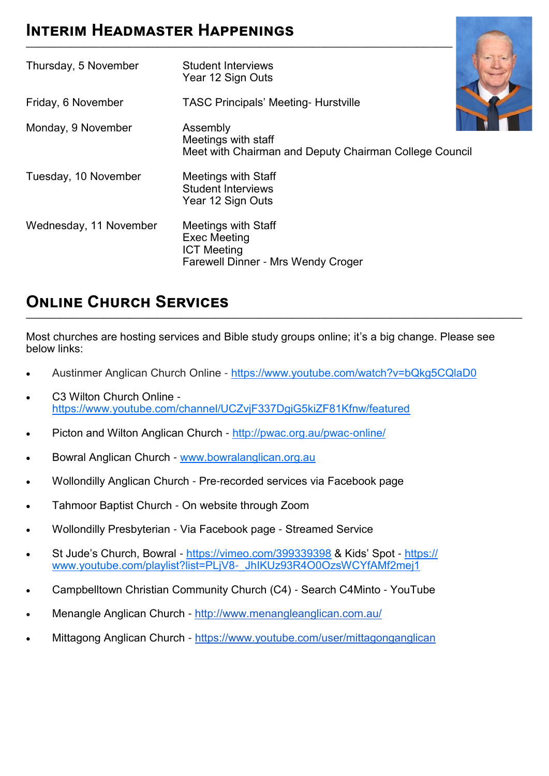# **Interim Headmaster Happenings**

| Thursday, 5 November   | <b>Student Interviews</b><br>Year 12 Sign Outs                                                                       |
|------------------------|----------------------------------------------------------------------------------------------------------------------|
| Friday, 6 November     | <b>TASC Principals' Meeting- Hurstville</b>                                                                          |
| Monday, 9 November     | Assembly<br>Meetings with staff<br>Meet with Chairman and Deputy Chairman College Council                            |
| Tuesday, 10 November   | <b>Meetings with Staff</b><br><b>Student Interviews</b><br>Year 12 Sign Outs                                         |
| Wednesday, 11 November | <b>Meetings with Staff</b><br><b>Exec Meeting</b><br><b>ICT Meeting</b><br><b>Farewell Dinner - Mrs Wendy Croger</b> |

**\_\_\_\_\_\_\_\_\_\_\_\_\_\_\_\_\_\_\_\_\_\_\_\_\_\_\_\_\_\_\_\_\_\_\_\_\_\_\_\_\_\_\_\_\_\_\_\_\_\_\_\_\_\_\_\_\_\_\_\_\_\_\_\_\_\_\_\_\_\_\_\_\_\_\_\_\_\_\_\_\_\_\_\_\_\_\_\_\_\_\_\_\_\_\_\_\_\_\_\_\_\_\_\_**

# **Online Church Services**

Most churches are hosting services and Bible study groups online; it's a big change. Please see below links:

**\_\_\_\_\_\_\_\_\_\_\_\_\_\_\_\_\_\_\_\_\_\_\_\_\_\_\_\_\_\_\_\_\_\_\_\_\_\_\_\_\_\_\_\_\_\_\_\_\_\_\_\_\_\_\_\_\_\_\_\_\_\_\_\_\_\_\_\_\_\_\_\_\_\_\_\_\_\_\_\_\_\_\_\_\_\_\_\_\_\_\_\_\_\_\_\_\_\_\_\_\_\_\_\_\_\_\_\_\_\_\_\_\_\_\_\_\_\_\_\_\_**

- Austinmer Anglican Church Online <https://www.youtube.com/watch?v=bQkg5CQlaD0>
- C3 Wilton Church Online <https://www.youtube.com/channel/UCZvjF337DgiG5kiZF81Kfnw/featured>
- Picton and Wilton Anglican Church [http://pwac.org.au/pwac](http://pwac.org.au/pwac-online/)-online/
- Bowral Anglican Church [www.bowralanglican.org.au](http://www.bowralanglican.org.au/)
- Wollondilly Anglican Church Pre-recorded services via Facebook page
- Tahmoor Baptist Church On website through Zoom
- Wollondilly Presbyterian Via Facebook page Streamed Service
- St Jude's Church, Bowral <https://vimeo.com/399339398> & Kids' Spot [https://](https://www.youtube.com/playlist?list=PLjV8-_JhIKUz93R4O0OzsWCYfAMf2mej1) [www.youtube.com/playlist?list=PLjV8](https://www.youtube.com/playlist?list=PLjV8-_JhIKUz93R4O0OzsWCYfAMf2mej1)-\_JhIKUz93R4O0OzsWCYfAMf2mej1
- Campbelltown Christian Community Church (C4) Search C4Minto YouTube
- Menangle Anglican Church <http://www.menangleanglican.com.au/>
- Mittagong Anglican Church <https://www.youtube.com/user/mittagonganglican>